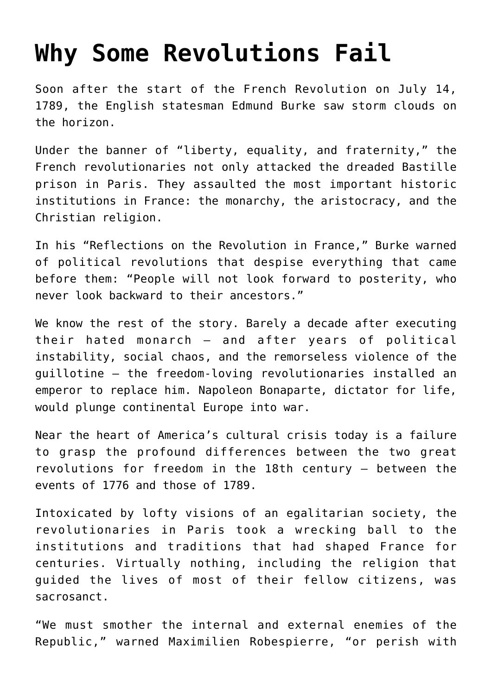## **[Why Some Revolutions Fail](https://intellectualtakeout.org/2020/07/why-some-revolutions-fail/)**

Soon after the start of the French Revolution on July 14, 1789, the English statesman Edmund Burke saw storm clouds on the horizon.

Under the banner of "liberty, equality, and fraternity," the French revolutionaries not only attacked the dreaded Bastille prison in Paris. They assaulted the most important historic institutions in France: the monarchy, the aristocracy, and the Christian religion.

In his "Reflections on the Revolution in France," Burke warned of political revolutions that despise everything that came before them: "People will not look forward to posterity, who never look backward to their ancestors."

We know the rest of the story. Barely a decade after executing their hated monarch – and after years of political instability, social chaos, and the remorseless violence of the guillotine – the freedom-loving revolutionaries installed an emperor to replace him. Napoleon Bonaparte, dictator for life, would plunge continental Europe into war.

Near the heart of America's cultural crisis today is a failure to grasp the profound differences between the two great revolutions for freedom in the 18th century – between the events of 1776 and those of 1789.

Intoxicated by lofty visions of an egalitarian society, the revolutionaries in Paris took a wrecking ball to the institutions and traditions that had shaped France for centuries. Virtually nothing, including the religion that guided the lives of most of their fellow citizens, was sacrosanct.

"We must smother the internal and external enemies of the Republic," warned Maximilien Robespierre, "or perish with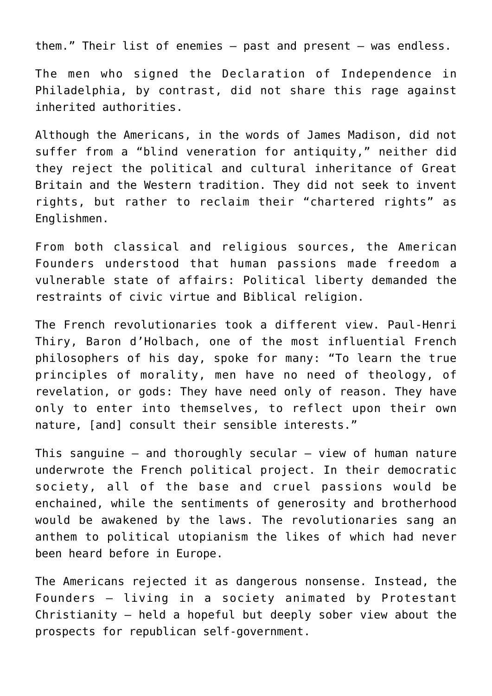them." Their list of enemies – past and present – was endless.

The men who signed the Declaration of Independence in Philadelphia, by contrast, did not share this rage against inherited authorities.

Although the Americans, in the words of James Madison, did not suffer from a "blind veneration for antiquity," neither did they reject the political and cultural inheritance of Great Britain and the Western tradition. They did not seek to invent rights, but rather to reclaim their "chartered rights" as Englishmen.

From both classical and religious sources, the American Founders understood that human passions made freedom a vulnerable state of affairs: Political liberty demanded the restraints of civic virtue and Biblical religion.

The French revolutionaries took a different view. Paul-Henri Thiry, Baron d'Holbach, one of the most influential French philosophers of his day, spoke for many: "To learn the true principles of morality, men have no need of theology, of revelation, or gods: They have need only of reason. They have only to enter into themselves, to reflect upon their own nature, [and] consult their sensible interests."

This sanguine  $-$  and thoroughly secular  $-$  view of human nature underwrote the French political project. In their democratic society, all of the base and cruel passions would be enchained, while the sentiments of generosity and brotherhood would be awakened by the laws. The revolutionaries sang an anthem to political utopianism the likes of which had never been heard before in Europe.

The Americans rejected it as dangerous nonsense. Instead, the Founders – living in a society animated by Protestant Christianity – held a hopeful but deeply sober view about the prospects for republican self-government.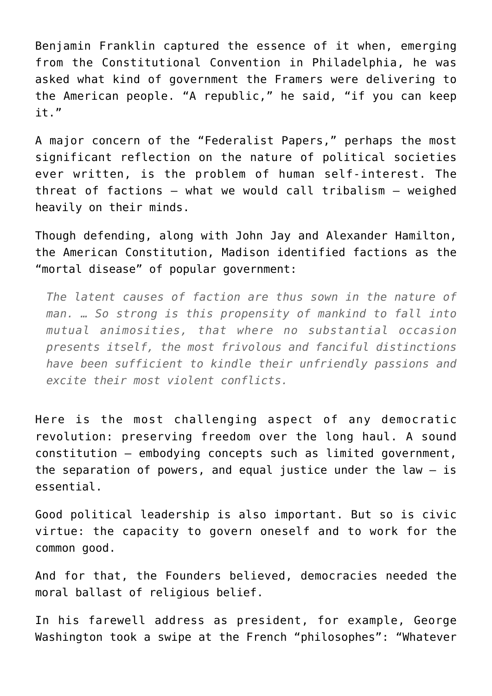Benjamin Franklin captured the essence of it when, emerging from the Constitutional Convention in Philadelphia, he was asked what kind of government the Framers were delivering to the American people. "A republic," he said, "if you can keep it."

A major concern of the "Federalist Papers," perhaps the most significant reflection on the nature of political societies ever written, is the problem of human self-interest. The threat of factions – what we would call tribalism – weighed heavily on their minds.

Though defending, along with John Jay and Alexander Hamilton, the American Constitution, Madison identified factions as the "mortal disease" of popular government:

*The latent causes of faction are thus sown in the nature of man. … So strong is this propensity of mankind to fall into mutual animosities, that where no substantial occasion presents itself, the most frivolous and fanciful distinctions have been sufficient to kindle their unfriendly passions and excite their most violent conflicts.*

Here is the most challenging aspect of any democratic revolution: preserving freedom over the long haul. A sound constitution – embodying concepts such as limited government, the separation of powers, and equal justice under the law  $-$  is essential.

Good political leadership is also important. But so is civic virtue: the capacity to govern oneself and to work for the common good.

And for that, the Founders believed, democracies needed the moral ballast of religious belief.

In his farewell address as president, for example, George Washington took a swipe at the French "philosophes": "Whatever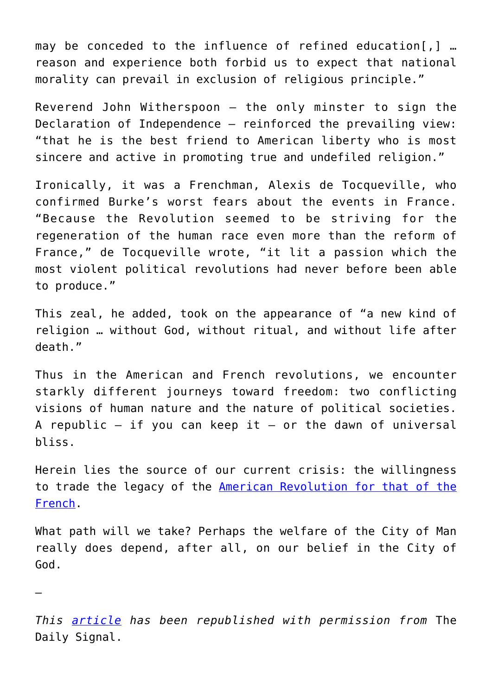may be conceded to the influence of refined education[,] … reason and experience both forbid us to expect that national morality can prevail in exclusion of religious principle."

Reverend John Witherspoon – the only minster to sign the Declaration of Independence – reinforced the prevailing view: "that he is the best friend to American liberty who is most sincere and active in promoting true and undefiled religion."

Ironically, it was a Frenchman, Alexis de Tocqueville, who confirmed Burke's worst fears about the events in France. "Because the Revolution seemed to be striving for the regeneration of the human race even more than the reform of France," de Tocqueville wrote, "it lit a passion which the most violent political revolutions had never before been able to produce."

This zeal, he added, took on the appearance of "a new kind of religion … without God, without ritual, and without life after death."

Thus in the American and French revolutions, we encounter starkly different journeys toward freedom: two conflicting visions of human nature and the nature of political societies. A republic  $-$  if you can keep it  $-$  or the dawn of universal bliss.

Herein lies the source of our current crisis: the willingness to trade the legacy of the [American Revolution for that of the](https://www.heritage.org/political-process/report/the-great-divide-the-ideological-legacies-the-american-and-french?_ga=2.212261972.1336939996.1594736979-558362307.1588960120) [French](https://www.heritage.org/political-process/report/the-great-divide-the-ideological-legacies-the-american-and-french?_ga=2.212261972.1336939996.1594736979-558362307.1588960120).

What path will we take? Perhaps the welfare of the City of Man really does depend, after all, on our belief in the City of God.

*This [article](https://www.dailysignal.com/2020/07/14/why-some-revolutions-fail/) has been republished with permission from* The Daily Signal.

—